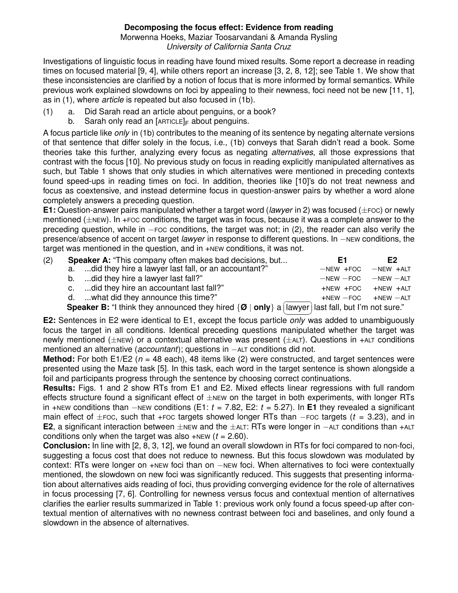## **Decomposing the focus effect: Evidence from reading**

Morwenna Hoeks, Maziar Toosarvandani & Amanda Rysling *University of California Santa Cruz*

Investigations of linguistic focus in reading have found mixed results. Some report a decrease in reading times on focused material [9, 4], while others report an increase [3, 2, 8, 12]; see Table 1. We show that these inconsistencies are clarified by a notion of focus that is more informed by formal semantics. While previous work explained slowdowns on foci by appealing to their newness, foci need not be new [11, 1], as in (1), where *article* is repeated but also focused in (1b).

- (1) a. Did Sarah read an article about penguins, or a book?
	- b. Sarah only read an  $[ARTICE]_F$  about penguins.

A focus particle like *only* in (1b) contributes to the meaning of its sentence by negating alternate versions of that sentence that differ solely in the focus, i.e., (1b) conveys that Sarah didn't read a book. Some theories take this further, analyzing every focus as negating *alternatives*, all those expressions that contrast with the focus [10]. No previous study on focus in reading explicitly manipulated alternatives as such, but Table 1 shows that only studies in which alternatives were mentioned in preceding contexts found speed-ups in reading times on foci. In addition, theories like [10]'s do not treat newness and focus as coextensive, and instead determine focus in question-answer pairs by whether a word alone completely answers a preceding question.

**E1:** Question-answer pairs manipulated whether a target word (*lawyer* in 2) was focused (±FOC) or newly mentioned (±NEW). In +FOC conditions, the target was in focus, because it was a complete answer to the preceding question, while in −FOC conditions, the target was not; in (2), the reader can also verify the presence/absence of accent on target *lawyer* in response to different questions. In −NEW conditions, the target was mentioned in the question, and in +NEW conditions, it was not.

| (2) | <b>Speaker A:</b> "This company often makes bad decisions, but                                                            | F1                           | F2          |
|-----|---------------------------------------------------------------------------------------------------------------------------|------------------------------|-------------|
|     | a.  did they hire a lawyer last fall, or an accountant?"                                                                  | $-NEW$ +FOC                  | $-NEW$ +ALT |
|     | b. did they hire a lawyer last fall?"                                                                                     | $-NEW$ - FOC $-$ NEW $-$ ALT |             |
|     | c. did they hire an accountant last fall?"                                                                                | +NEW +FOC +NEW +ALT          |             |
|     | d.  what did they announce this time?"                                                                                    | $+NEW$ -FOC $+NEW$ -ALT      |             |
|     | <b>Speaker B:</b> "I think they announced they hired $\{ \emptyset \mid only \}$ a [lawyer] last fall, but I'm not sure." |                              |             |

✝ ✆ lawyer | last fall, but I'm not sure."

**E2:** Sentences in E2 were identical to E1, except the focus particle *only* was added to unambiguously focus the target in all conditions. Identical preceding questions manipulated whether the target was newly mentioned ( $\pm$ NEW) or a contextual alternative was present ( $\pm$ ALT). Questions in +ALT conditions mentioned an alternative (*accountant*); questions in −ALT conditions did not.

**Method:** For both E1/E2 (*n* = 48 each), 48 items like (2) were constructed, and target sentences were presented using the Maze task [5]. In this task, each word in the target sentence is shown alongside a foil and participants progress through the sentence by choosing correct continuations.

**Results:** Figs. 1 and 2 show RTs from E1 and E2. Mixed effects linear regressions with full random effects structure found a significant effect of  $\pm$ NEW on the target in both experiments, with longer RTs in +NEW conditions than −NEW conditions (E1: *t* = 7.82, E2: *t* = 5.27). In **E1** they revealed a significant main effect of ±FOC, such that +FOC targets showed longer RTs than −FOC targets (*t* = 3.23), and in **E2**, a significant interaction between ±NEW and the ±ALT: RTs were longer in −ALT conditions than +ALT conditions only when the target was also  $+$ NEW ( $t = 2.60$ ).

**Conclusion:** In line with [2, 8, 3, 12], we found an overall slowdown in RTs for foci compared to non-foci, suggesting a focus cost that does not reduce to newness. But this focus slowdown was modulated by context: RTs were longer on +NEW foci than on −NEW foci. When alternatives to foci were contextually mentioned, the slowdown on new foci was significantly reduced. This suggests that presenting information about alternatives aids reading of foci, thus providing converging evidence for the role of alternatives in focus processing [7, 6]. Controlling for newness versus focus and contextual mention of alternatives clarifies the earlier results summarized in Table 1: previous work only found a focus speed-up after contextual mention of alternatives with no newness contrast between foci and baselines, and only found a slowdown in the absence of alternatives.